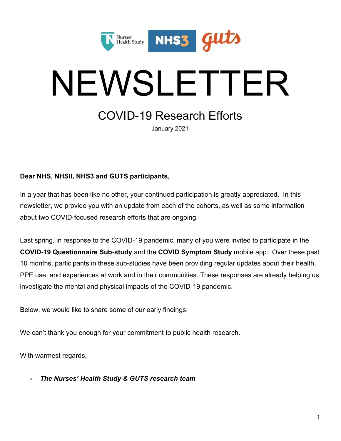

# NEWSLETTER

## COVID-19 Research Efforts

January 2021

## **Dear NHS, NHSII, NHS3 and GUTS participants,**

In a year that has been like no other, your continued participation is greatly appreciated. In this newsletter, we provide you with an update from each of the cohorts, as well as some information about two COVID-focused research efforts that are ongoing.

Last spring, in response to the COVID-19 pandemic, many of you were invited to participate in the **COVID-19 Questionnaire Sub-study** and the **COVID Symptom Study** mobile app. Over these past 10 months, participants in these sub-studies have been providing regular updates about their health, PPE use, and experiences at work and in their communities. These responses are already helping us investigate the mental and physical impacts of the COVID-19 pandemic.

Below, we would like to share some of our early findings.

We can't thank you enough for your commitment to public health research.

With warmest regards,

*- The Nurses' Health Study & GUTS research team*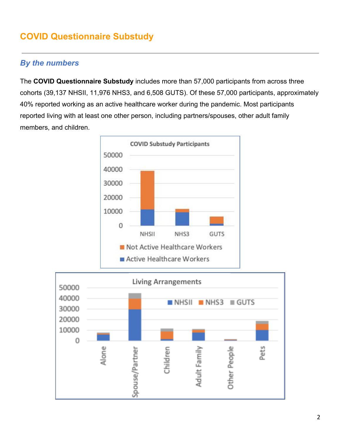## **COVID Questionnaire Substudy**

## *By the numbers*

The **COVID Questionnaire Substudy** includes more than 57,000 participants from across three cohorts (39,137 NHSII, 11,976 NHS3, and 6,508 GUTS). Of these 57,000 participants, approximately 40% reported working as an active healthcare worker during the pandemic. Most participants reported living with at least one other person, including partners/spouses, other adult family members, and children.



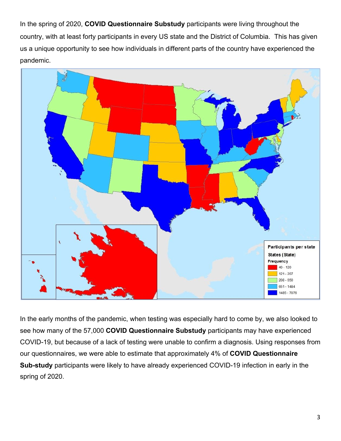In the spring of 2020, **COVID Questionnaire Substudy** participants were living throughout the country, with at least forty participants in every US state and the District of Columbia. This has given us a unique opportunity to see how individuals in different parts of the country have experienced the pandemic.



In the early months of the pandemic, when testing was especially hard to come by, we also looked to see how many of the 57,000 **COVID Questionnaire Substudy** participants may have experienced COVID-19, but because of a lack of testing were unable to confirm a diagnosis. Using responses from our questionnaires, we were able to estimate that approximately 4% of **COVID Questionnaire Sub-study** participants were likely to have already experienced COVID-19 infection in early in the spring of 2020.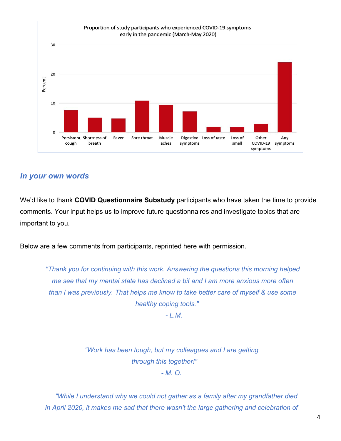

## *In your own words*

We'd like to thank **COVID Questionnaire Substudy** participants who have taken the time to provide comments. Your input helps us to improve future questionnaires and investigate topics that are important to you.

Below are a few comments from participants, reprinted here with permission.

*"Thank you for continuing with this work. Answering the questions this morning helped me see that my mental state has declined a bit and I am more anxious more often than I was previously. That helps me know to take better care of myself & use some healthy coping tools."*

*- L.M.*

*"Work has been tough, but my colleagues and I are getting through this together!" - M. O.*

*"While I understand why we could not gather as a family after my grandfather died in April 2020, it makes me sad that there wasn't the large gathering and celebration of*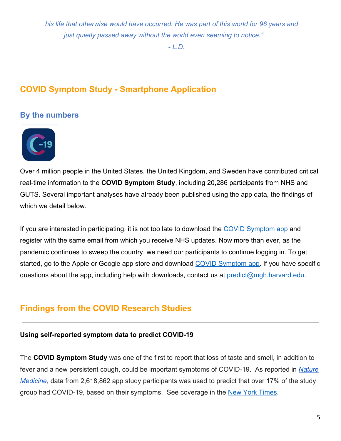*his life that otherwise would have occurred. He was part of this world for 96 years and just quietly passed away without the world even seeming to notice."*

*- L.D.*

## **COVID Symptom Study - Smartphone Application**

## **By the numbers**



Over 4 million people in the United States, the United Kingdom, and Sweden have contributed critical real-time information to the **COVID Symptom Study**, including 20,286 participants from NHS and GUTS. Several important analyses have already been published using the app data, the findings of which we detail below.

If you are interested in participating, it is not too late to download the [COVID Symptom app](https://covid.joinzoe.com/us-2) and register with the same email from which you receive NHS updates. Now more than ever, as the pandemic continues to sweep the country, we need our participants to continue logging in. To get started, go to the Apple or Google app store and download [COVID Symptom app](https://covid.joinzoe.com/us-2). If you have specific questions about the app, including help with downloads, contact us at [predict@mgh.harvard.edu.](mailto:predict@mgh.harvard.edu)

## **Findings from the COVID Research Studies**

#### **Using self-reported symptom data to predict COVID-19**

The **COVID Symptom Study** was one of the first to report that loss of taste and smell, in addition to fever and a new persistent cough, could be important symptoms of COVID-19. As reported in *[Nature](https://www.nature.com/articles/s41591-020-0916-2) [Medicine](https://www.nature.com/articles/s41591-020-0916-2)*, data from 2,618,862 app study participants was used to predict that over 17% of the study group had COVID-19, based on their symptoms. See coverage in the [New York Times](https://www.nytimes.com/2020/05/11/health/coronavirus-symptoms-app.html).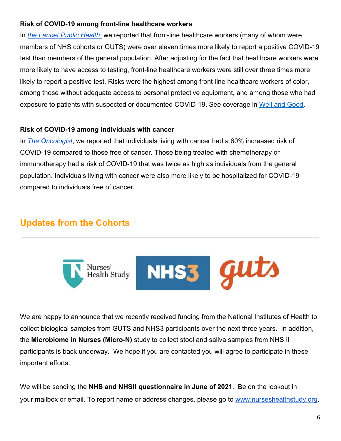#### **Risk of COVID-19 among front-line healthcare workers**

In *[the](https://www.thelancet.com/journals/lanpub/article/PIIS2468-2667(20)30164-X/fulltext) [Lancet Public Health](https://www.thelancet.com/journals/lanpub/article/PIIS2468-2667(20)30164-X/fulltext)*[,](https://www.thelancet.com/journals/lanpub/article/PIIS2468-2667(20)30164-X/fulltext) we reported that front-line healthcare workers (many of whom were members of NHS cohorts or GUTS) were over eleven times more likely to report a positive COVID-19 test than members of the general population. After adjusting for the fact that healthcare workers were more likely to have access to testing, front-line healthcare workers were still over three times more likely to report a positive test. Risks were the highest among front-line healthcare workers of color, among those without adequate access to personal protective equipment, and among those who had exposure to patients with suspected or documented COVID-19. See coverage in [Well and Good.](https://www.wellandgood.com/health-care-workers-of-color-coronavirus/amp/)

#### **Risk of COVID-19 among individuals with cancer**

In *[The Oncologist](https://theoncologist.onlinelibrary.wiley.com/doi/10.1634/theoncologist.2020-0572)*, we reported that individuals living with cancer had a 60% increased risk of COVID-19 compared to those free of cancer. Those being treated with chemotherapy or immunotherapy had a risk of COVID-19 that was twice as high as individuals from the general population. Individuals living with cancer were also more likely to be hospitalized for COVID-19 compared to individuals free of cancer.

## **Updates from the Cohorts**



We are happy to announce that we recently received funding from the National Institutes of Health to collect biological samples from GUTS and NHS3 participants over the next three years. In addition, the **Microbiome in Nurses (Micro-N)** study to collect stool and saliva samples from NHS II participants is back underway. We hope if you are contacted you will agree to participate in these important efforts.

We will be sending the **NHS and NHSII questionnaire in June of 2021**. Be on the lookout in your mailbox or email. To report name or address changes, please go to [www.nurseshealthstudy.org](http://www.nurseshealthstudy.org/).